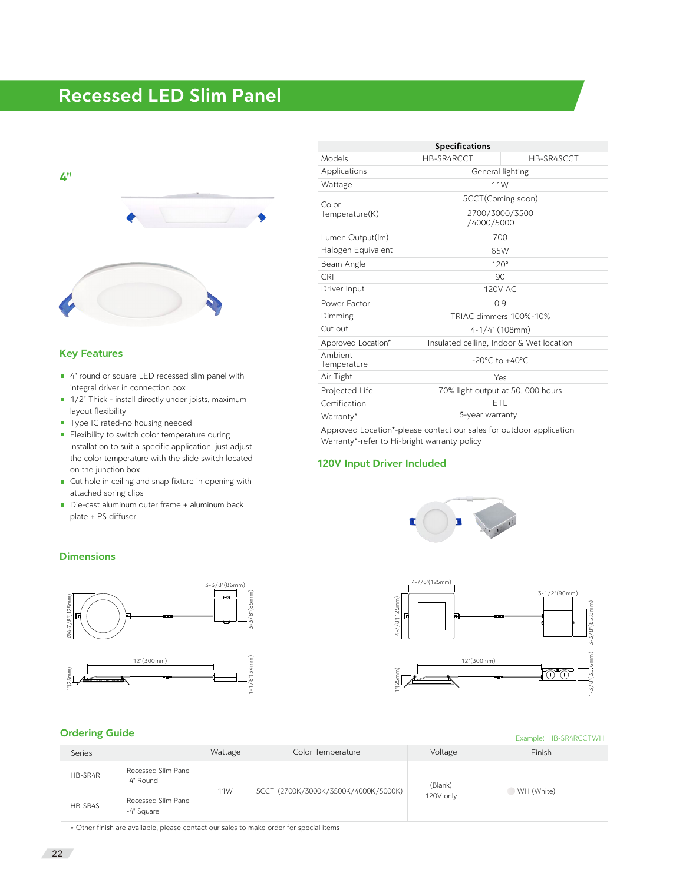# Recessed LED Slim Panel



### Key Features

- 4" round or square LED recessed slim panel with integral driver in connection box
- 1/2" Thick install directly under joists, maximum layout flexibility
- Type IC rated-no housing needed
- **Flexibility to switch color temperature during** installation to suit a specific application, just adjust the color temperature with the slide switch located on the junction box
- Cut hole in ceiling and snap fixture in opening with attached spring clips
- Die-cast aluminum outer frame + aluminum back plate + PS diffuser

| <b>Specifications</b>   |                                          |            |  |  |  |  |  |
|-------------------------|------------------------------------------|------------|--|--|--|--|--|
| Models                  | HB-SR4RCCT                               | HB-SR4SCCT |  |  |  |  |  |
| Applications            | General lighting                         |            |  |  |  |  |  |
| Wattage                 | 11W                                      |            |  |  |  |  |  |
| Color<br>Temperature(K) | 5CCT(Coming soon)                        |            |  |  |  |  |  |
|                         | 2700/3000/3500<br>/4000/5000             |            |  |  |  |  |  |
| Lumen Output(Im)        | 700                                      |            |  |  |  |  |  |
| Halogen Equivalent      | 65W                                      |            |  |  |  |  |  |
| Beam Angle              | $120^\circ$                              |            |  |  |  |  |  |
| <b>CRI</b>              | 90                                       |            |  |  |  |  |  |
| Driver Input            | 120V AC                                  |            |  |  |  |  |  |
| Power Factor            | 0.9                                      |            |  |  |  |  |  |
| Dimming                 | TRIAC dimmers 100%-10%                   |            |  |  |  |  |  |
| Cut out                 | $4 - 1/4$ " (108mm)                      |            |  |  |  |  |  |
| Approved Location*      | Insulated ceiling, Indoor & Wet location |            |  |  |  |  |  |
| Ambient<br>Temperature  | $-20^{\circ}$ C to $+40^{\circ}$ C       |            |  |  |  |  |  |
| Air Tight               | Yes                                      |            |  |  |  |  |  |
| Projected Life          | 70% light output at 50, 000 hours        |            |  |  |  |  |  |
| Certification           | ETL                                      |            |  |  |  |  |  |
| Warranty*               | 5-year warranty                          |            |  |  |  |  |  |

Approved Location\*-please contact our sales for outdoor application Warranty\*-refer to Hi-bright warranty policy

## 120V Input Driver Included





#### **Dimensions**



#### Ordering Guide

| <b>STACHTIS SAINS</b> |                                   | Example: HB-SR4RCCTWH |                                      |                      |            |
|-----------------------|-----------------------------------|-----------------------|--------------------------------------|----------------------|------------|
| Series                |                                   | Wattage               | Color Temperature                    | Voltage              | Finish     |
| HB-SR4R               | Recessed Slim Panel<br>-4" Round  | 11W                   | 5CCT (2700K/3000K/3500K/4000K/5000K) | (Blank)<br>120V only | WH (White) |
| HB-SR4S               | Recessed Slim Panel<br>-4" Square |                       |                                      |                      |            |

\* Other finish are available, please contact our sales to make order for special items